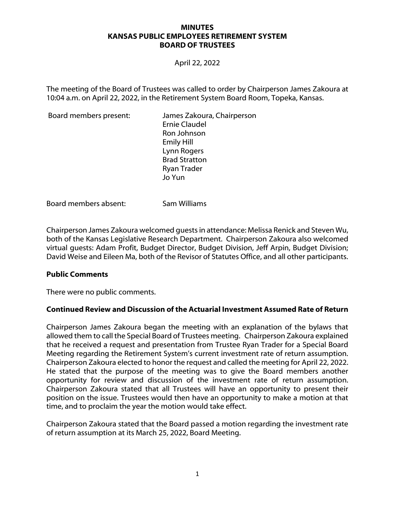#### **MINUTES KANSAS PUBLIC EMPLOYEES RETIREMENT SYSTEM BOARD OF TRUSTEES**

April 22, 2022

The meeting of the Board of Trustees was called to order by Chairperson James Zakoura at 10:04 a.m. on April 22, 2022, in the Retirement System Board Room, Topeka, Kansas.

Board members present: James Zakoura, Chairperson Ernie Claudel Ron Johnson Emily Hill Lynn Rogers Brad Stratton Ryan Trader Jo Yun

Board members absent: Sam Williams

Chairperson James Zakoura welcomed guests in attendance: Melissa Renick and Steven Wu, both of the Kansas Legislative Research Department. Chairperson Zakoura also welcomed virtual guests: Adam Profit, Budget Director, Budget Division, Jeff Arpin, Budget Division; David Weise and Eileen Ma, both of the Revisor of Statutes Office, and all other participants.

#### **Public Comments**

There were no public comments.

# **Continued Review and Discussion of the Actuarial Investment Assumed Rate of Return**

Chairperson James Zakoura began the meeting with an explanation of the bylaws that allowed them to call the Special Board of Trustees meeting. Chairperson Zakoura explained that he received a request and presentation from Trustee Ryan Trader for a Special Board Meeting regarding the Retirement System's current investment rate of return assumption. Chairperson Zakoura elected to honor the request and called the meeting for April 22, 2022. He stated that the purpose of the meeting was to give the Board members another opportunity for review and discussion of the investment rate of return assumption. Chairperson Zakoura stated that all Trustees will have an opportunity to present their position on the issue. Trustees would then have an opportunity to make a motion at that time, and to proclaim the year the motion would take effect.

Chairperson Zakoura stated that the Board passed a motion regarding the investment rate of return assumption at its March 25, 2022, Board Meeting.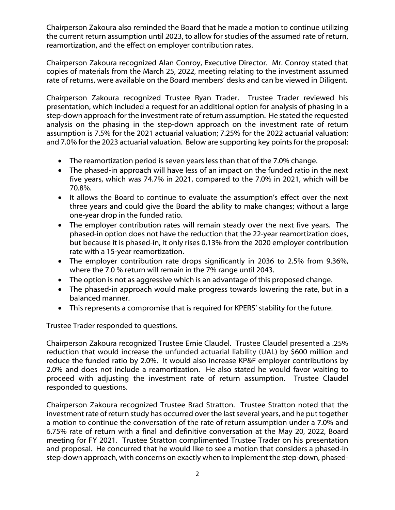Chairperson Zakoura also reminded the Board that he made a motion to continue utilizing the current return assumption until 2023, to allow for studies of the assumed rate of return, reamortization, and the effect on employer contribution rates.

Chairperson Zakoura recognized Alan Conroy, Executive Director. Mr. Conroy stated that copies of materials from the March 25, 2022, meeting relating to the investment assumed rate of returns, were available on the Board members' desks and can be viewed in Diligent.

Chairperson Zakoura recognized Trustee Ryan Trader. Trustee Trader reviewed his presentation, which included a request for an additional option for analysis of phasing in a step-down approach for the investment rate of return assumption. He stated the requested analysis on the phasing in the step-down approach on the investment rate of return assumption is 7.5% for the 2021 actuarial valuation; 7.25% for the 2022 actuarial valuation; and 7.0% for the 2023 actuarial valuation. Below are supporting key points for the proposal:

- The reamortization period is seven years less than that of the 7.0% change.
- The phased-in approach will have less of an impact on the funded ratio in the next five years, which was 74.7% in 2021, compared to the 7.0% in 2021, which will be 70.8%.
- It allows the Board to continue to evaluate the assumption's effect over the next three years and could give the Board the ability to make changes; without a large one-year drop in the funded ratio.
- The employer contribution rates will remain steady over the next five years. The phased-in option does not have the reduction that the 22-year reamortization does, but because it is phased-in, it only rises 0.13% from the 2020 employer contribution rate with a 15-year reamortization.
- The employer contribution rate drops significantly in 2036 to 2.5% from 9.36%, where the 7.0 % return will remain in the 7% range until 2043.
- The option is not as aggressive which is an advantage of this proposed change.
- The phased-in approach would make progress towards lowering the rate, but in a balanced manner.
- This represents a compromise that is required for KPERS' stability for the future.

Trustee Trader responded to questions.

Chairperson Zakoura recognized Trustee Ernie Claudel. Trustee Claudel presented a .25% reduction that would increase the unfunded actuarial liability (UAL) by \$600 million and reduce the funded ratio by 2.0%. It would also increase KP&F employer contributions by 2.0% and does not include a reamortization. He also stated he would favor waiting to proceed with adjusting the investment rate of return assumption. Trustee Claudel responded to questions.

Chairperson Zakoura recognized Trustee Brad Stratton. Trustee Stratton noted that the investment rate of return study has occurred over the last several years, and he put together a motion to continue the conversation of the rate of return assumption under a 7.0% and 6.75% rate of return with a final and definitive conversation at the May 20, 2022, Board meeting for FY 2021. Trustee Stratton complimented Trustee Trader on his presentation and proposal. He concurred that he would like to see a motion that considers a phased-in step-down approach, with concerns on exactly when to implement the step-down, phased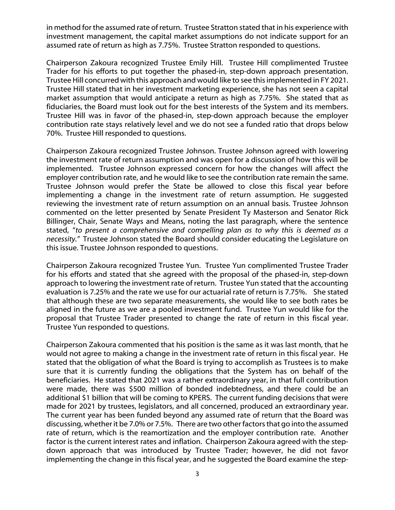in method for the assumed rate of return. Trustee Stratton stated that in his experience with investment management, the capital market assumptions do not indicate support for an assumed rate of return as high as 7.75%. Trustee Stratton responded to questions.

Chairperson Zakoura recognized Trustee Emily Hill. Trustee Hill complimented Trustee Trader for his efforts to put together the phased-in, step-down approach presentation. Trustee Hill concurred with this approach and would like to see this implemented in FY 2021. Trustee Hill stated that in her investment marketing experience, she has not seen a capital market assumption that would anticipate a return as high as 7.75%. She stated that as fiduciaries, the Board must look out for the best interests of the System and its members. Trustee Hill was in favor of the phased-in, step-down approach because the employer contribution rate stays relatively level and we do not see a funded ratio that drops below 70%. Trustee Hill responded to questions.

Chairperson Zakoura recognized Trustee Johnson. Trustee Johnson agreed with lowering the investment rate of return assumption and was open for a discussion of how this will be implemented. Trustee Johnson expressed concern for how the changes will affect the employer contribution rate, and he would like to see the contribution rate remain the same. Trustee Johnson would prefer the State be allowed to close this fiscal year before implementing a change in the investment rate of return assumption. He suggested reviewing the investment rate of return assumption on an annual basis. Trustee Johnson commented on the letter presented by Senate President Ty Masterson and Senator Rick Billinger, Chair, Senate Ways and Means, noting the last paragraph, where the sentence stated, "*to present a comprehensive and compelling plan as to why this is deemed as a necessity."* Trustee Johnson stated the Board should consider educating the Legislature on this issue. Trustee Johnson responded to questions.

Chairperson Zakoura recognized Trustee Yun. Trustee Yun complimented Trustee Trader for his efforts and stated that she agreed with the proposal of the phased-in, step-down approach to lowering the investment rate of return. Trustee Yun stated that the accounting evaluation is 7.25% and the rate we use for our actuarial rate of return is 7.75%. She stated that although these are two separate measurements, she would like to see both rates be aligned in the future as we are a pooled investment fund. Trustee Yun would like for the proposal that Trustee Trader presented to change the rate of return in this fiscal year. Trustee Yun responded to questions.

Chairperson Zakoura commented that his position is the same as it was last month, that he would not agree to making a change in the investment rate of return in this fiscal year. He stated that the obligation of what the Board is trying to accomplish as Trustees is to make sure that it is currently funding the obligations that the System has on behalf of the beneficiaries. He stated that 2021 was a rather extraordinary year, in that full contribution were made, there was \$500 million of bonded indebtedness, and there could be an additional \$1 billion that will be coming to KPERS. The current funding decisions that were made for 2021 by trustees, legislators, and all concerned, produced an extraordinary year. The current year has been funded beyond any assumed rate of return that the Board was discussing, whether it be 7.0% or 7.5%. There are two other factors that go into the assumed rate of return, which is the reamortization and the employer contribution rate. Another factor is the current interest rates and inflation. Chairperson Zakoura agreed with the stepdown approach that was introduced by Trustee Trader; however, he did not favor implementing the change in this fiscal year, and he suggested the Board examine the step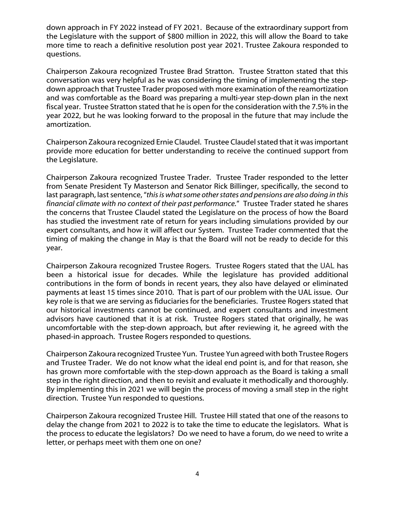down approach in FY 2022 instead of FY 2021. Because of the extraordinary support from the Legislature with the support of \$800 million in 2022, this will allow the Board to take more time to reach a definitive resolution post year 2021. Trustee Zakoura responded to questions.

Chairperson Zakoura recognized Trustee Brad Stratton. Trustee Stratton stated that this conversation was very helpful as he was considering the timing of implementing the stepdown approach that Trustee Trader proposed with more examination of the reamortization and was comfortable as the Board was preparing a multi-year step-down plan in the next fiscal year. Trustee Stratton stated that he is open for the consideration with the 7.5% in the year 2022, but he was looking forward to the proposal in the future that may include the amortization.

Chairperson Zakoura recognized Ernie Claudel. Trustee Claudel stated that it was important provide more education for better understanding to receive the continued support from the Legislature.

Chairperson Zakoura recognized Trustee Trader. Trustee Trader responded to the letter from Senate President Ty Masterson and Senator Rick Billinger, specifically, the second to last paragraph, last sentence, "*this is what some other states and pensions are also doing in this financial climate with no context of their past performance.*" Trustee Trader stated he shares the concerns that Trustee Claudel stated the Legislature on the process of how the Board has studied the investment rate of return for years including simulations provided by our expert consultants, and how it will affect our System. Trustee Trader commented that the timing of making the change in May is that the Board will not be ready to decide for this year.

Chairperson Zakoura recognized Trustee Rogers. Trustee Rogers stated that the UAL has been a historical issue for decades. While the legislature has provided additional contributions in the form of bonds in recent years, they also have delayed or eliminated payments at least 15 times since 2010. That is part of our problem with the UAL issue. Our key role is that we are serving as fiduciaries for the beneficiaries. Trustee Rogers stated that our historical investments cannot be continued, and expert consultants and investment advisors have cautioned that it is at risk. Trustee Rogers stated that originally, he was uncomfortable with the step-down approach, but after reviewing it, he agreed with the phased-in approach. Trustee Rogers responded to questions.

Chairperson Zakoura recognized Trustee Yun. Trustee Yun agreed with both Trustee Rogers and Trustee Trader. We do not know what the ideal end point is, and for that reason, she has grown more comfortable with the step-down approach as the Board is taking a small step in the right direction, and then to revisit and evaluate it methodically and thoroughly. By implementing this in 2021 we will begin the process of moving a small step in the right direction. Trustee Yun responded to questions.

Chairperson Zakoura recognized Trustee Hill. Trustee Hill stated that one of the reasons to delay the change from 2021 to 2022 is to take the time to educate the legislators. What is the process to educate the legislators? Do we need to have a forum, do we need to write a letter, or perhaps meet with them one on one?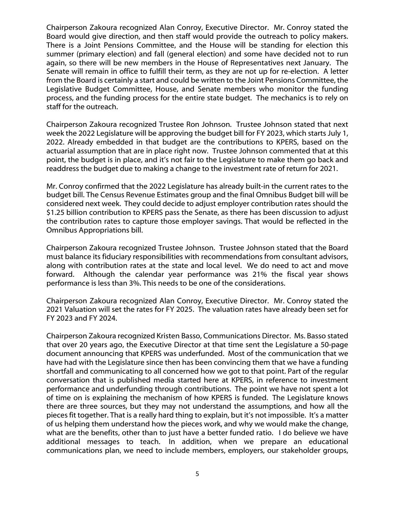Chairperson Zakoura recognized Alan Conroy, Executive Director. Mr. Conroy stated the Board would give direction, and then staff would provide the outreach to policy makers. There is a Joint Pensions Committee, and the House will be standing for election this summer (primary election) and fall (general election) and some have decided not to run again, so there will be new members in the House of Representatives next January. The Senate will remain in office to fulfill their term, as they are not up for re-election. A letter from the Board is certainly a start and could be written to the Joint Pensions Committee, the Legislative Budget Committee, House, and Senate members who monitor the funding process, and the funding process for the entire state budget. The mechanics is to rely on staff for the outreach.

Chairperson Zakoura recognized Trustee Ron Johnson. Trustee Johnson stated that next week the 2022 Legislature will be approving the budget bill for FY 2023, which starts July 1, 2022. Already embedded in that budget are the contributions to KPERS, based on the actuarial assumption that are in place right now. Trustee Johnson commented that at this point, the budget is in place, and it's not fair to the Legislature to make them go back and readdress the budget due to making a change to the investment rate of return for 2021.

Mr. Conroy confirmed that the 2022 Legislature has already built-in the current rates to the budget bill. The Census Revenue Estimates group and the final Omnibus Budget bill will be considered next week. They could decide to adjust employer contribution rates should the \$1.25 billion contribution to KPERS pass the Senate, as there has been discussion to adjust the contribution rates to capture those employer savings. That would be reflected in the Omnibus Appropriations bill.

Chairperson Zakoura recognized Trustee Johnson. Trustee Johnson stated that the Board must balance its fiduciary responsibilities with recommendations from consultant advisors, along with contribution rates at the state and local level. We do need to act and move forward. Although the calendar year performance was 21% the fiscal year shows performance is less than 3%. This needs to be one of the considerations.

Chairperson Zakoura recognized Alan Conroy, Executive Director. Mr. Conroy stated the 2021 Valuation will set the rates for FY 2025. The valuation rates have already been set for FY 2023 and FY 2024.

Chairperson Zakoura recognized Kristen Basso, Communications Director. Ms. Basso stated that over 20 years ago, the Executive Director at that time sent the Legislature a 50-page document announcing that KPERS was underfunded. Most of the communication that we have had with the Legislature since then has been convincing them that we have a funding shortfall and communicating to all concerned how we got to that point. Part of the regular conversation that is published media started here at KPERS, in reference to investment performance and underfunding through contributions. The point we have not spent a lot of time on is explaining the mechanism of how KPERS is funded. The Legislature knows there are three sources, but they may not understand the assumptions, and how all the pieces fit together. That is a really hard thing to explain, but it's not impossible. It's a matter of us helping them understand how the pieces work, and why we would make the change, what are the benefits, other than to just have a better funded ratio. I do believe we have additional messages to teach. In addition, when we prepare an educational communications plan, we need to include members, employers, our stakeholder groups,